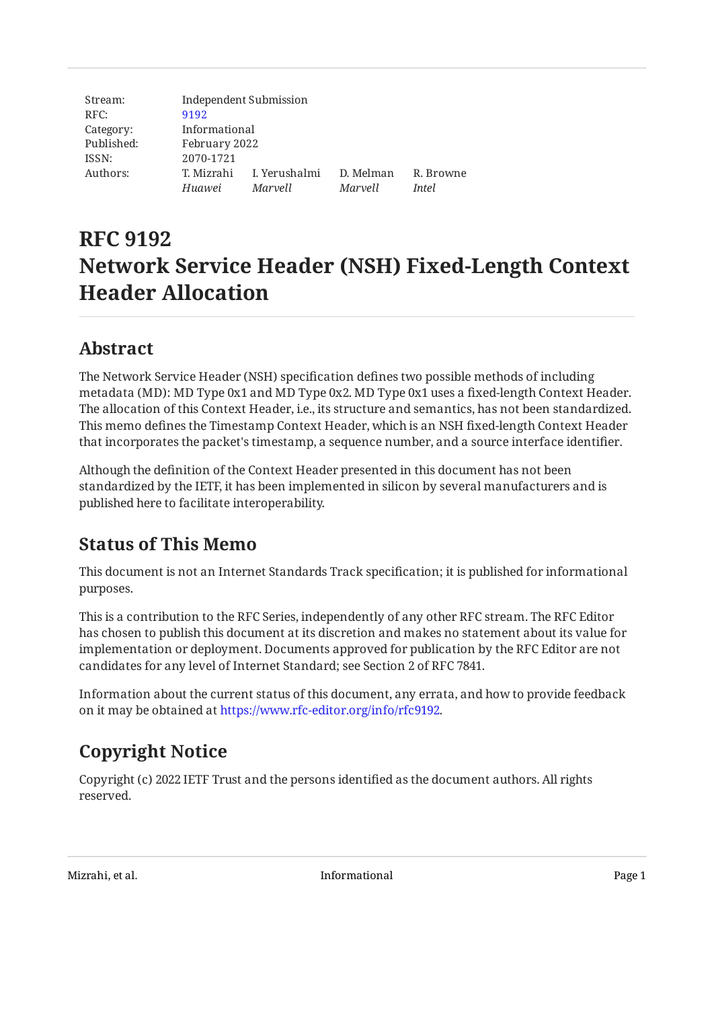| Independent Submission |         |                                                            |              |
|------------------------|---------|------------------------------------------------------------|--------------|
| 9192                   |         |                                                            |              |
|                        |         |                                                            |              |
|                        |         |                                                            |              |
| 2070-1721              |         |                                                            |              |
|                        |         | D. Melman                                                  | R. Browne    |
| Huawei                 | Marvell | Marvell                                                    | <i>Intel</i> |
|                        |         | Informational<br>February 2022<br>T. Mizrahi I. Yerushalmi |              |

# **RFC 9192 Network Service Header (NSH) Fixed-Length Context Header Allocation**

### <span id="page-0-0"></span>**[Abstract](#page-0-0)**

The Network Service Header (NSH) specification defines two possible methods of including metadata (MD): MD Type 0x1 and MD Type 0x2. MD Type 0x1 uses a fixed-length Context Header. The allocation of this Context Header, i.e., its structure and semantics, has not been standardized. This memo defines the Timestamp Context Header, which is an NSH fixed-length Context Header that incorporates the packet's timestamp, a sequence number, and a source interface identifier.

Although the definition of the Context Header presented in this document has not been standardized by the IETF, it has been implemented in silicon by several manufacturers and is published here to facilitate interoperability.

### <span id="page-0-1"></span>**[Status of This Memo](#page-0-1)**

This document is not an Internet Standards Track specification; it is published for informational purposes.

This is a contribution to the RFC Series, independently of any other RFC stream. The RFC Editor has chosen to publish this document at its discretion and makes no statement about its value for implementation or deployment. Documents approved for publication by the RFC Editor are not candidates for any level of Internet Standard; see Section 2 of RFC 7841.

Information about the current status of this document, any errata, and how to provide feedback on it may be obtained at [https://www.rfc-editor.org/info/rfc9192.](https://www.rfc-editor.org/info/rfc9192)

## <span id="page-0-2"></span>**[Copyright Notice](#page-0-2)**

Copyright (c) 2022 IETF Trust and the persons identified as the document authors. All rights reserved.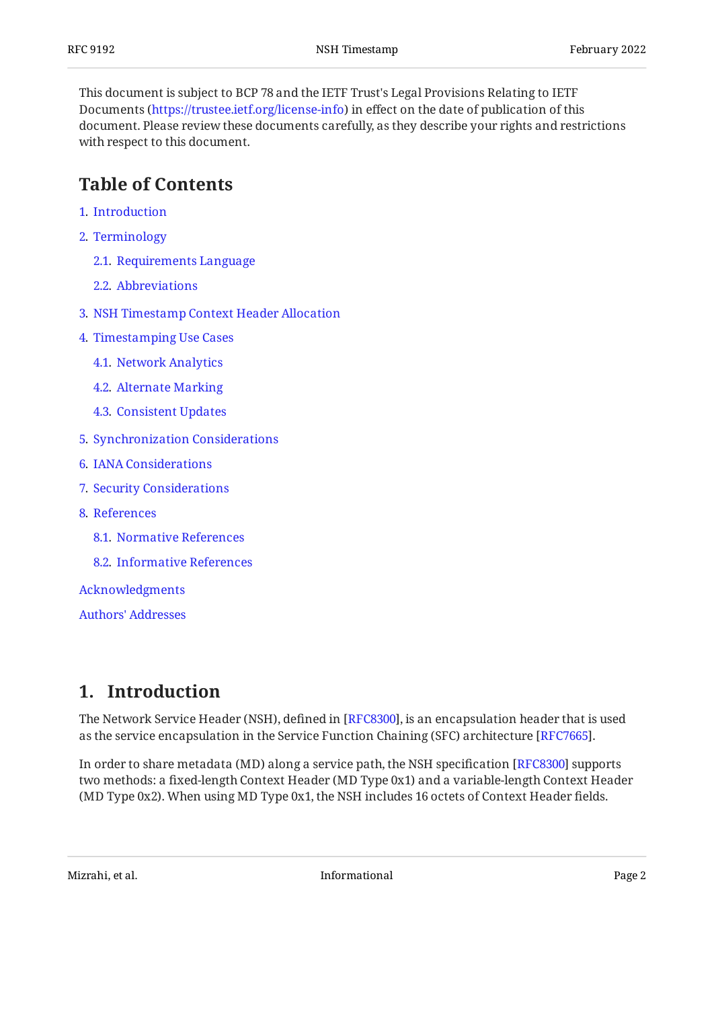This document is subject to BCP 78 and the IETF Trust's Legal Provisions Relating to IETF Documents (<https://trustee.ietf.org/license-info>) in effect on the date of publication of this document. Please review these documents carefully, as they describe your rights and restrictions with respect to this document.

### <span id="page-1-0"></span>**[Table of Contents](#page-1-0)**

- [1](#page-1-1). [Introduction](#page-1-1)
- [2](#page-3-0). [Terminology](#page-3-0)
	- [2.1.](#page-3-1) [Requirements Language](#page-3-1)
	- [2.2.](#page-3-2) [Abbreviations](#page-3-2)
- [3](#page-3-3). [NSH Timestamp Context Header Allocation](#page-3-3)
- [4](#page-5-0). [Timestamping Use Cases](#page-5-0)
	- [4.1.](#page-5-1) [Network Analytics](#page-5-1)
	- [4.2.](#page-5-2) [Alternate Marking](#page-5-2)
	- [4.3.](#page-5-3) [Consistent Updates](#page-5-3)
- [5](#page-6-0). [Synchronization Considerations](#page-6-0)
- [6](#page-6-1). [IANA Considerations](#page-6-1)
- [7](#page-6-2). [Security Considerations](#page-6-2)
- [8](#page-6-3). [References](#page-6-3)
	- [8.1.](#page-6-4) [Normative References](#page-6-4)
	- [8.2.](#page-7-0) [Informative References](#page-7-0)

[Acknowledgments](#page-8-0)

[Authors' Addresses](#page-8-1)

### <span id="page-1-1"></span>**[1. Introduction](#page-1-1)**

The Network Service Header (NSH), defined in [RFC8300], is an encapsulation header that is used as the service encapsulation in the Service Function Chaining (SFC) architecture [RFC7665].

In order to share metadata (MD) along a service path, the NSH specification [RFC8300] supports two methods: a fixed-length Context Header (MD Type 0x1) and a variable-length Context Header (MD Type 0x2). When using MD Type 0x1, the NSH includes 16 octets of Context Header fields.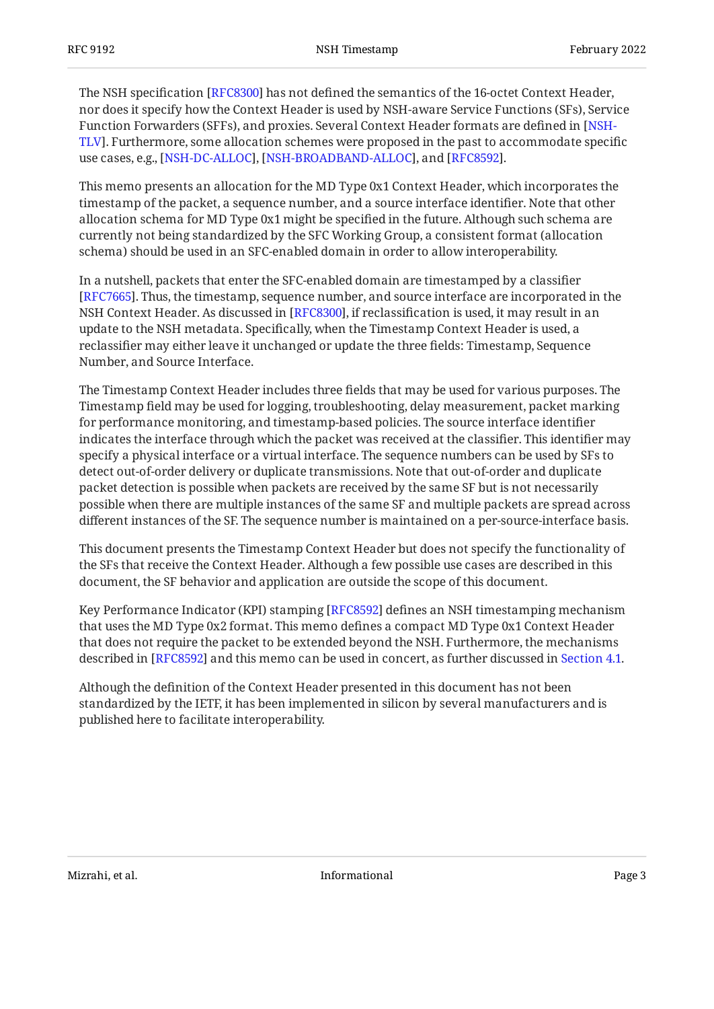The NSH specification [\[RFC8300\]](#page-7-1) has not defined the semantics of the 16-octet Context Header, nor does it specify how the Context Header is used by NSH-aware Service Functions (SFs), Service Function Forwarders (SFFs), and proxies. Several Context Header formats are defined in [\[NSH-](#page-7-3). Furthermore, some allocation schemes were proposed in the past to accommodate specific [TLV\]](#page-7-3) use cases, e.g., [NSH-DC-ALLOC], [NSH-BROADBAND-ALLOC], and [RFC8592].

This memo presents an allocation for the MD Type 0x1 Context Header, which incorporates the timestamp of the packet, a sequence number, and a source interface identifier. Note that other allocation schema for MD Type 0x1 might be specified in the future. Although such schema are currently not being standardized by the SFC Working Group, a consistent format (allocation schema) should be used in an SFC-enabled domain in order to allow interoperability.

In a nutshell, packets that enter the SFC-enabled domain are timestamped by a classifier [[RFC7665\]](#page-7-2). Thus, the timestamp, sequence number, and source interface are incorporated in the NSH Context Header. As discussed in [RFC8300], if reclassification is used, it may result in an update to the NSH metadata. Specifically, when the Timestamp Context Header is used, a reclassifier may either leave it unchanged or update the three fields: Timestamp, Sequence Number, and Source Interface.

The Timestamp Context Header includes three fields that may be used for various purposes. The Timestamp field may be used for logging, troubleshooting, delay measurement, packet marking for performance monitoring, and timestamp-based policies. The source interface identifier indicates the interface through which the packet was received at the classifier. This identifier may specify a physical interface or a virtual interface. The sequence numbers can be used by SFs to detect out-of-order delivery or duplicate transmissions. Note that out-of-order and duplicate packet detection is possible when packets are received by the same SF but is not necessarily possible when there are multiple instances of the same SF and multiple packets are spread across different instances of the SF. The sequence number is maintained on a per-source-interface basis.

This document presents the Timestamp Context Header but does not specify the functionality of the SFs that receive the Context Header. Although a few possible use cases are described in this document, the SF behavior and application are outside the scope of this document.

Key Performance Indicator (KPI) stamping [RFC8592] defines an NSH timestamping mechanism that uses the MD Type 0x2 format. This memo defines a compact MD Type 0x1 Context Header that does not require the packet to be extended beyond the NSH. Furthermore, the mechanisms described in [RFC8592] and this memo can be used in concert, as further discussed in [Section 4.1](#page-5-1).

Although the definition of the Context Header presented in this document has not been standardized by the IETF, it has been implemented in silicon by several manufacturers and is published here to facilitate interoperability.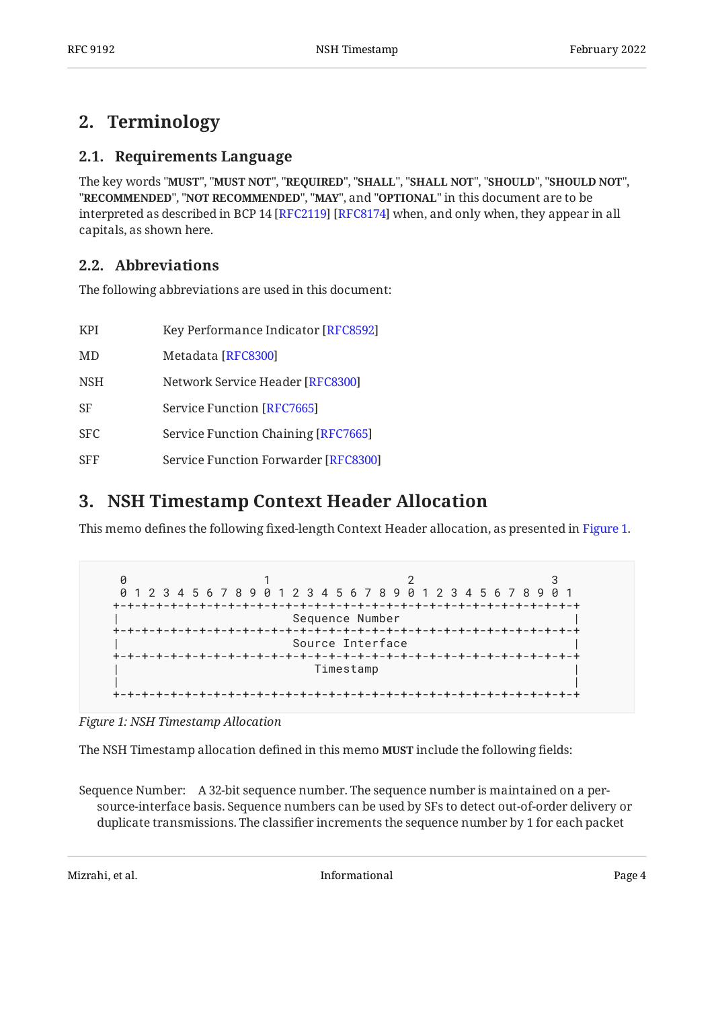### <span id="page-3-1"></span><span id="page-3-0"></span>**[2. Terminology](#page-3-0)**

#### **[2.1. Requirements Language](#page-3-1)**

The key words "MUST", "MUST NOT", "REQUIRED", "SHALL", "SHALL NOT", "SHOULD", "SHOULD NOT", "**RECOMMENDED", "NOT RECOMMENDED", "MAY",** and "OPTIONAL" in this document are to be interpreted as described in BCP 14 [RFC2119] [RFC8174] when, and only when, they appear in all capitals, as shown here.

#### <span id="page-3-2"></span>**[2.2. Abbreviations](#page-3-2)**

The following abbreviations are used in this document:

| <b>KPI</b> | Key Performance Indicator [RFC8592]  |
|------------|--------------------------------------|
| MD         | Metadata [RFC8300]                   |
| <b>NSH</b> | Network Service Header [RFC8300]     |
| <b>SF</b>  | <b>Service Function [RFC7665]</b>    |
| <b>SFC</b> | Service Function Chaining [RFC7665]  |
| <b>SFF</b> | Service Function Forwarder [RFC8300] |

### <span id="page-3-3"></span>**[3. NSH Timestamp Context Header Allocation](#page-3-3)**

This memo defines the following fixed-length Context Header allocation, as presented in [Figure 1.](#page-3-4)

<span id="page-3-4"></span>

| Ø |                                                                 |  |
|---|-----------------------------------------------------------------|--|
|   | 0 1 2 3 4 5 6 7 8 9 0 1 2 3 4 5 6 7 8 9 0 1 2 3 4 5 6 7 8 9 0 1 |  |
|   |                                                                 |  |
|   | Sequence Number                                                 |  |
|   |                                                                 |  |
|   | Source Interface                                                |  |
|   |                                                                 |  |
|   | Timestamp                                                       |  |
|   |                                                                 |  |
|   |                                                                 |  |

*[Figure 1: NSH Timestamp Allocation](#page-3-4)* 

The NSH Timestamp allocation defined in this memo **MUST** include the following fields:

Sequence Number: A 32-bit sequence number. The sequence number is maintained on a persource-interface basis. Sequence numbers can be used by SFs to detect out-of-order delivery or duplicate transmissions. The classifier increments the sequence number by 1 for each packet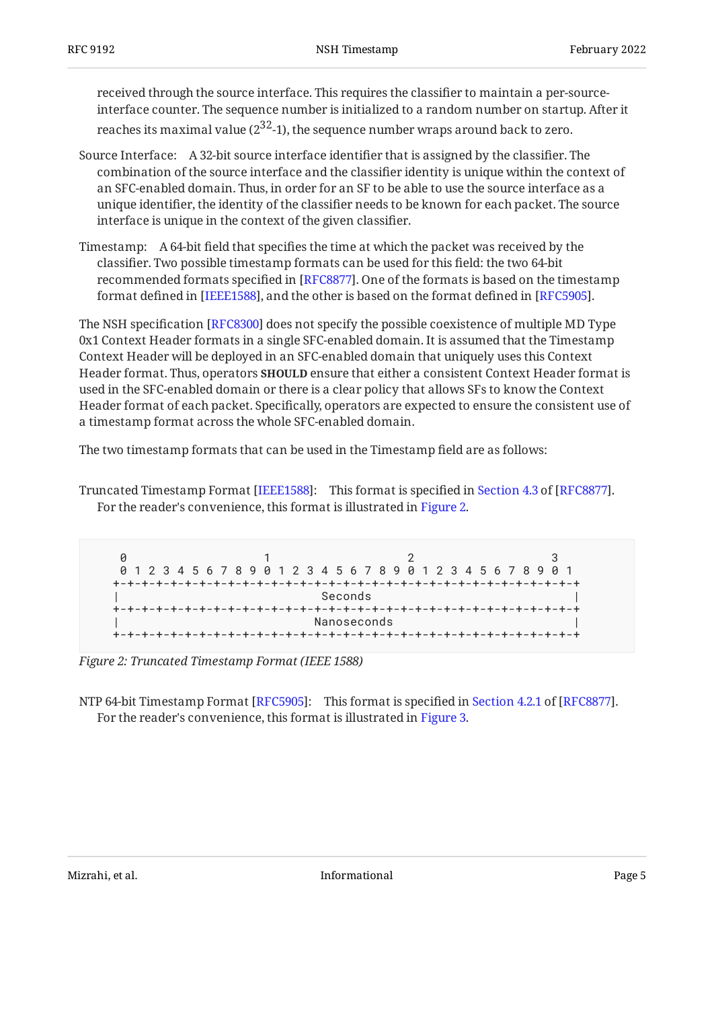received through the source interface. This requires the classifier to maintain a per-sourceinterface counter. The sequence number is initialized to a random number on startup. After it reaches its maximal value ( $2^{32}$ -1), the sequence number wraps around back to zero.

- Source Interface: A 32-bit source interface identifier that is assigned by the classifier. The combination of the source interface and the classifier identity is unique within the context of an SFC-enabled domain. Thus, in order for an SF to be able to use the source interface as a unique identifier, the identity of the classifier needs to be known for each packet. The source interface is unique in the context of the given classifier.
- Timestamp: A 64-bit field that specifies the time at which the packet was received by the classifier. Two possible timestamp formats can be used for this field: the two 64-bit recommended formats specified in [\[RFC8877](#page-7-7)]. One of the formats is based on the timestamp format defined in [IEEE1588], and the other is based on the format defined in [RFC5905].  $\,$

The NSH specification [RFC8300] does not specify the possible coexistence of multiple MD Type 0x1 Context Header formats in a single SFC-enabled domain. It is assumed that the Timestamp Context Header will be deployed in an SFC-enabled domain that uniquely uses this Context Header format. Thus, operators **SHOULD** ensure that either a consistent Context Header format is used in the SFC-enabled domain or there is a clear policy that allows SFs to know the Context Header format of each packet. Specifically, operators are expected to ensure the consistent use of a timestamp format across the whole SFC-enabled domain.

The two timestamp formats that can be used in the Timestamp field are as follows:

TruncatedTimestamp Format [IEEE1588]: This format is specified in Section 4.3 of [RFC8877]. For the reader's convenience, this format is illustrated in [Figure 2.](#page-4-0)

<span id="page-4-0"></span>0 1 2 3 0 1 2 3 4 5 6 7 8 9 0 1 2 3 4 5 6 7 8 9 0 1 2 3 4 5 6 7 8 9 0 1 +-+-+-+-+-+-+-+-+-+-+-+-+-+-+-+-+-+-+-+-+-+-+-+-+-+-+-+-+-+-+-+-+ | Seconds | Seconds | Seconds | Seconds | Seconds | Seconds | Seconds | Seconds | Seconds | Seconds | Seconds | +-+-+-+-+-+-+-+-+-+-+-+-+-+-+-+-+-+-+-+-+-+-+-+-+-+-+-+-+-+-+-+-+ Nanoseconds +-+-+-+-+-+-+-+-+-+-+-+-+-+-+-+-+-+-+-+-+-+-+-+-+-+-+-+-+-+-+-+-+

*[Figure 2: Truncated Timestamp Format \(IEEE 1588\)](#page-4-0)* 

<span id="page-4-1"></span>NTP64-bit Timestamp Format [RFC5905]: This format is specified in Section 4.2.1 of [RFC8877]. For the reader's convenience, this format is illustrated in [Figure 3.](#page-5-4)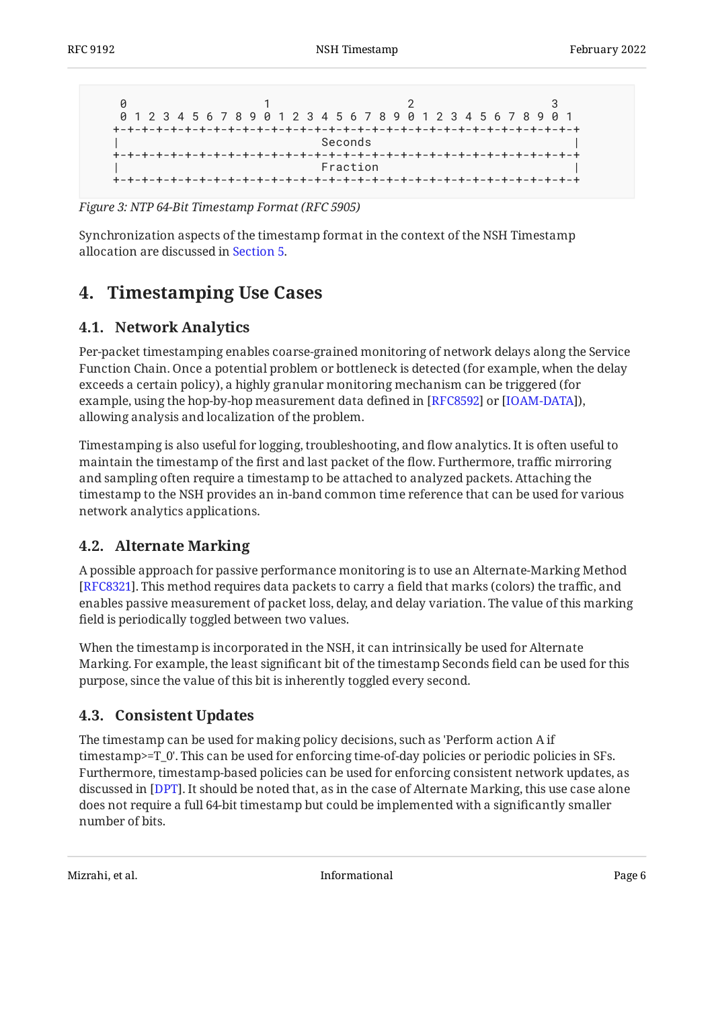```
0 1 2 3
 0 1 2 3 4 5 6 7 8 9 0 1 2 3 4 5 6 7 8 9 0 1 2 3 4 5 6 7 8 9 0 1
   +-+-+-+-+-+-+-+-+-+-+-+-+-+-+-+-+-+-+-+-+-+-+-+-+-+-+-+-+-+-+-+-+
| Seconds | Seconds | Seconds | Seconds | Seconds | Seconds | Seconds | Seconds | Seconds | Seconds | Seconds |
   +-+-+-+-+-+-+-+-+-+-+-+-+-+-+-+-+-+-+-+-+-+-+-+-+-+-+-+-+-+-+-+-+
 | Fraction |
   +-+-+-+-+-+-+-+-+-+-+-+-+-+-+-+-+-+-+-+-+-+-+-+-+-+-+-+-+-+-+-+-+
```
*[Figure 3:](#page-5-4) [NTP 64-Bit Timestamp Format \(RFC 5905\)](#page-4-1)* 

<span id="page-5-0"></span>Synchronization aspects of the timestamp format in the context of the NSH Timestamp allocation are discussed in [Section 5.](#page-6-0)

### <span id="page-5-1"></span>**[4. Timestamping Use Cases](#page-5-0)**

#### **[4.1. Network Analytics](#page-5-1)**

Per-packet timestamping enables coarse-grained monitoring of network delays along the Service Function Chain. Once a potential problem or bottleneck is detected (for example, when the delay exceeds a certain policy), a highly granular monitoring mechanism can be triggered (for example, using the hop-by-hop measurement data defined in [RFC8592] or [IOAM-DATA]), allowing analysis and localization of the problem.

Timestamping is also useful for logging, troubleshooting, and flow analytics. It is often useful to maintain the timestamp of the first and last packet of the flow. Furthermore, traffic mirroring and sampling often require a timestamp to be attached to analyzed packets. Attaching the timestamp to the NSH provides an in-band common time reference that can be used for various network analytics applications.

#### <span id="page-5-2"></span>**[4.2. Alternate Marking](#page-5-2)**

A possible approach for passive performance monitoring is to use an Alternate-Marking Method [[RFC8321\]](#page-8-4). This method requires data packets to carry a field that marks (colors) the traffic, and enables passive measurement of packet loss, delay, and delay variation. The value of this marking field is periodically toggled between two values.

When the timestamp is incorporated in the NSH, it can intrinsically be used for Alternate Marking. For example, the least significant bit of the timestamp Seconds field can be used for this purpose, since the value of this bit is inherently toggled every second.

#### <span id="page-5-3"></span>**[4.3. Consistent Updates](#page-5-3)**

The timestamp can be used for making policy decisions, such as 'Perform action A if timestamp>=T\_0'. This can be used for enforcing time-of-day policies or periodic policies in SFs. Furthermore, timestamp-based policies can be used for enforcing consistent network updates, as discussed in [[DPT\]](#page-7-10). It should be noted that, as in the case of Alternate Marking, this use case alone does not require a full 64-bit timestamp but could be implemented with a significantly smaller number of bits.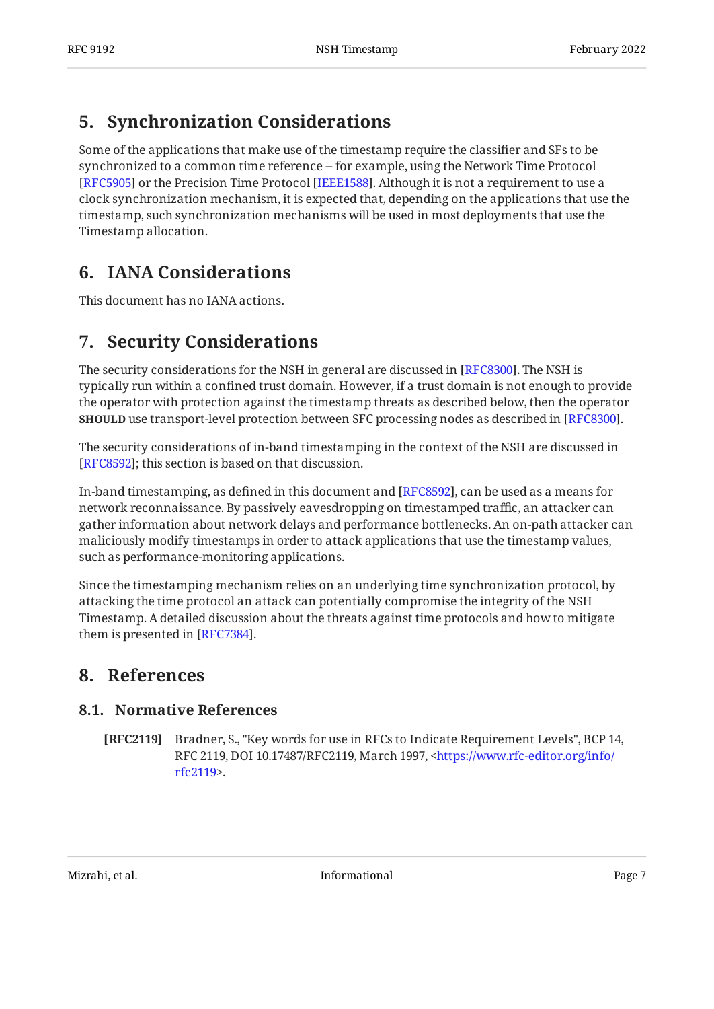### <span id="page-6-0"></span>**[5. Synchronization Considerations](#page-6-0)**

Some of the applications that make use of the timestamp require the classifier and SFs to be synchronized to a common time reference -- for example, using the Network Time Protocol [[RFC5905\]](#page-8-3) or the Precision Time Protocol [IEEE1588]. Although it is not a requirement to use a clock synchronization mechanism, it is expected that, depending on the applications that use the timestamp, such synchronization mechanisms will be used in most deployments that use the Timestamp allocation.

### <span id="page-6-1"></span>**[6. IANA Considerations](#page-6-1)**

<span id="page-6-2"></span>This document has no IANA actions.

### **[7. Security Considerations](#page-6-2)**

The security considerations for the NSH in general are discussed in [[RFC8300\]](#page-7-1). The NSH is typically run within a confined trust domain. However, if a trust domain is not enough to provide the operator with protection against the timestamp threats as described below, then the operator **SHOULD** use transport-level protection between SFC processing nodes as described in [RFC8300].

The security considerations of in-band timestamping in the context of the NSH are discussed in [[RFC8592\]](#page-8-2); this section is based on that discussion.

In-band timestamping, as defined in this document and [[RFC8592\]](#page-8-2), can be used as a means for network reconnaissance. By passively eavesdropping on timestamped traffic, an attacker can gather information about network delays and performance bottlenecks. An on-path attacker can maliciously modify timestamps in order to attack applications that use the timestamp values, such as performance-monitoring applications.

Since the timestamping mechanism relies on an underlying time synchronization protocol, by attacking the time protocol an attack can potentially compromise the integrity of the NSH Timestamp. A detailed discussion about the threats against time protocols and how to mitigate them is presented in [RFC7384].

### <span id="page-6-4"></span><span id="page-6-3"></span>**[8. References](#page-6-3)**

#### **[8.1. Normative References](#page-6-4)**

<span id="page-6-5"></span>**[RFC2119]** Bradner, S., "Key words for use in RFCs to Indicate Requirement Levels", BCP 14, RFC 2119, DOI 10.17487/RFC2119, March 1997, [<https://www.rfc-editor.org/info/](https://www.rfc-editor.org/info/rfc2119) . [rfc2119](https://www.rfc-editor.org/info/rfc2119)>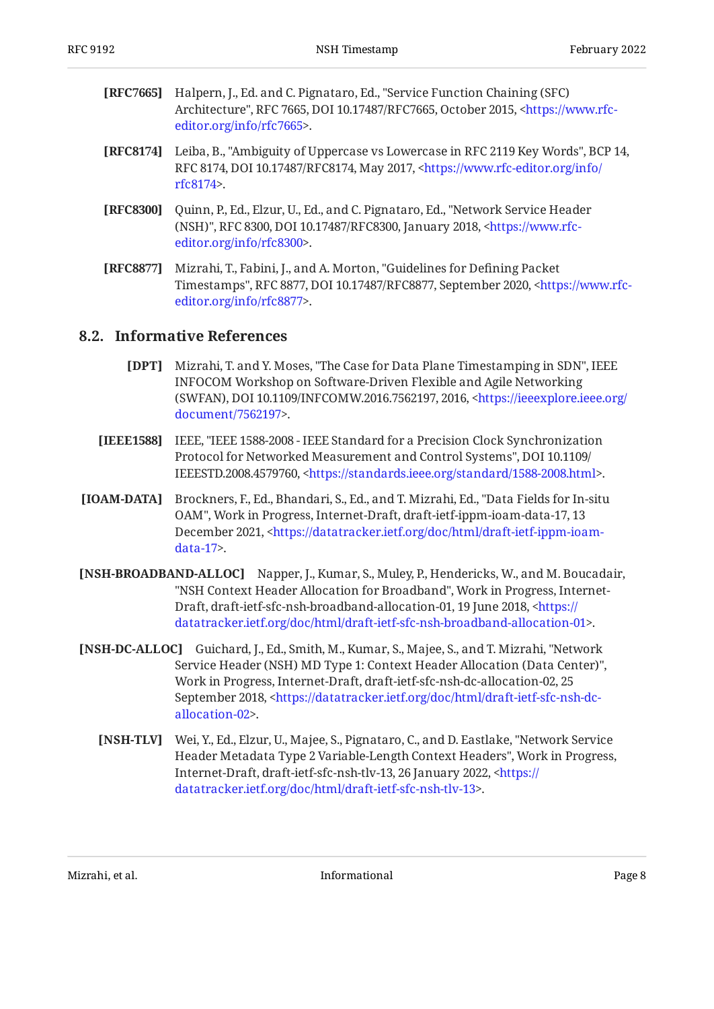<span id="page-7-2"></span>

| <b>[REC7665]</b> Halpern, J., Ed. and C. Pignataro, Ed., "Service Function Chaining (SFC)         |
|---------------------------------------------------------------------------------------------------|
| Architecture", RFC 7665, DOI 10.17487/RFC7665, October 2015, <https: th="" www.rfc-<=""></https:> |
| editor.org/info/rfc7665>.                                                                         |

- <span id="page-7-6"></span>**[RFC8174]** Leiba, B., "Ambiguity of Uppercase vs Lowercase in RFC 2119 Key Words", BCP 14, RFC 8174, DOI 10.17487/RFC8174, May 2017, <[https://www.rfc-editor.org/info/](https://www.rfc-editor.org/info/rfc8174) . [rfc8174](https://www.rfc-editor.org/info/rfc8174)>
- <span id="page-7-1"></span>**[RFC8300]** Quinn, P., Ed., Elzur, U., Ed., and C. Pignataro, Ed., "Network Service Header (NSH)", RFC 8300, DOI 10.17487/RFC8300, January 2018, [<https://www.rfc-](https://www.rfc-editor.org/info/rfc8300). [editor.org/info/rfc8300](https://www.rfc-editor.org/info/rfc8300)>
- <span id="page-7-7"></span>**[RFC8877]** Mizrahi, T., Fabini, J., and A. Morton, "Guidelines for Defining Packet Timestamps", RFC 8877, DOI 10.17487/RFC8877, September 2020, [<https://www.rfc-](https://www.rfc-editor.org/info/rfc8877). [editor.org/info/rfc8877](https://www.rfc-editor.org/info/rfc8877)>

#### <span id="page-7-10"></span><span id="page-7-0"></span>**[8.2. Informative References](#page-7-0)**

- **[DPT]** Mizrahi, T. and Y. Moses, "The Case for Data Plane Timestamping in SDN", IEEE (SWFAN), DOI 10.1109/INFCOMW.2016.7562197, 2016, <[https://ieeexplore.ieee.org/](https://ieeexplore.ieee.org/document/7562197) . [document/7562197](https://ieeexplore.ieee.org/document/7562197)> INFOCOM Workshop on Software-Driven Flexible and Agile Networking
- <span id="page-7-8"></span>**[IEEE1588]** IEEE, "IEEE 1588-2008 - IEEE Standard for a Precision Clock Synchronization Protocol for Networked Measurement and Control Systems", DOI 10.1109/ IEEESTD.2008.4579760, <https://standards.ieee.org/standard/1588-2008.html>.
- <span id="page-7-9"></span>**[IOAM-DATA]** Brockners, F., Ed., Bhandari, S., Ed., and T. Mizrahi, Ed., "Data Fields for In-situ OAM", Work in Progress, Internet-Draft, draft-ietf-ippm-ioam-data-17, 13 December 2021, <[https://datatracker.ietf.org/doc/html/draft-ietf-ippm-ioam-](https://datatracker.ietf.org/doc/html/draft-ietf-ippm-ioam-data-17). [data-17](https://datatracker.ietf.org/doc/html/draft-ietf-ippm-ioam-data-17)>
- <span id="page-7-5"></span>**[NSH-BROADBAND-ALLOC]** Napper, J., Kumar, S., Muley, P., Hendericks, W., and M. Boucadair, "NSH Context Header Allocation for Broadband", Work in Progress, Internet-Draft, draft-ietf-sfc-nsh-broadband-allocation-01, 19 June 2018, [<https://](https://datatracker.ietf.org/doc/html/draft-ietf-sfc-nsh-broadband-allocation-01) . [datatracker.ietf.org/doc/html/draft-ietf-sfc-nsh-broadband-allocation-01>](https://datatracker.ietf.org/doc/html/draft-ietf-sfc-nsh-broadband-allocation-01)
- <span id="page-7-4"></span><span id="page-7-3"></span>**[NSH-DC-ALLOC]** Guichard, J., Ed., Smith, M., Kumar, S., Majee, S., and T. Mizrahi, "Network , Service Header (NSH) MD Type 1: Context Header Allocation (Data Center)" Work in Progress, Internet-Draft, draft-ietf-sfc-nsh-dc-allocation-02, 25 September 2018, [<https://datatracker.ietf.org/doc/html/draft-ietf-sfc-nsh-dc-](https://datatracker.ietf.org/doc/html/draft-ietf-sfc-nsh-dc-allocation-02). [allocation-02](https://datatracker.ietf.org/doc/html/draft-ietf-sfc-nsh-dc-allocation-02)>
	- **[NSH-TLV]** Wei, Y., Ed., Elzur, U., Majee, S., Pignataro, C., and D. Eastlake, "Network Service Header Metadata Type 2 Variable-Length Context Headers", Work in Progress, Internet-Draft, draft-ietf-sfc-nsh-tlv-13, 26 January 2022, <<del>[https://](https://datatracker.ietf.org/doc/html/draft-ietf-sfc-nsh-tlv-13)</del> . [datatracker.ietf.org/doc/html/draft-ietf-sfc-nsh-tlv-13](https://datatracker.ietf.org/doc/html/draft-ietf-sfc-nsh-tlv-13)>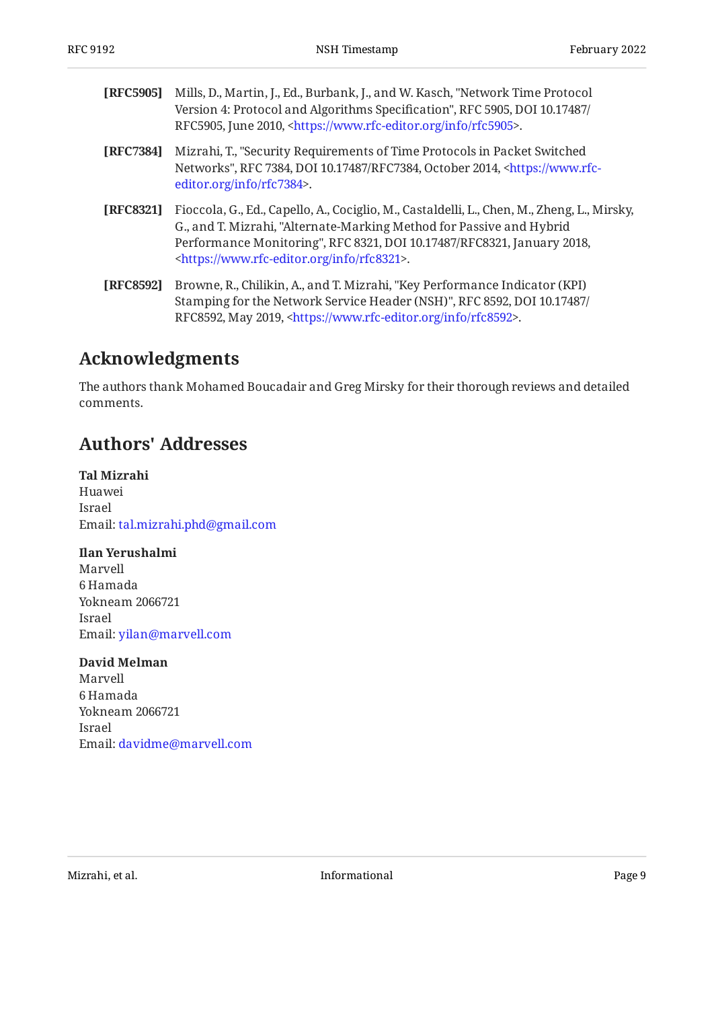<span id="page-8-3"></span>

| <b>[RFC5905]</b> Mills, D., Martin, J., Ed., Burbank, J., and W. Kasch, "Network Time Protocol |
|------------------------------------------------------------------------------------------------|
| Version 4: Protocol and Algorithms Specification", RFC 5905, DOI 10.17487/                     |
| RFC5905, June 2010, <https: info="" rfc5905="" www.rfc-editor.org="">.</https:>                |

- <span id="page-8-5"></span>**[RFC7384]** , Mizrahi, T. "Security Requirements of Time Protocols in Packet Switched Networks", RFC 7384, DOI 10.17487/RFC7384, October 2014, [<https://www.rfc-](https://www.rfc-editor.org/info/rfc7384). [editor.org/info/rfc7384](https://www.rfc-editor.org/info/rfc7384)>
- <span id="page-8-4"></span>**[RFC8321]** Fioccola, G., Ed., Capello, A., Cociglio, M., Castaldelli, L., Chen, M., Zheng, L., Mirsky, G., and T. Mizrahi, "Alternate-Marking Method for Passive and Hybrid Performance Monitoring", RFC 8321, DOI 10.17487/RFC8321, January 2018, . [<https://www.rfc-editor.org/info/rfc8321](https://www.rfc-editor.org/info/rfc8321)>
- <span id="page-8-2"></span>**[RFC8592]** Browne, R., Chilikin, A., and T. Mizrahi, "Key Performance Indicator (KPI) Stamping for the Network Service Header (NSH)", RFC 8592, DOI 10.17487/ RFC8592, May 2019, <https://www.rfc-editor.org/info/rfc8592>.

### <span id="page-8-0"></span>**[Acknowledgments](#page-8-0)**

<span id="page-8-1"></span>The authors thank Mohamed Boucadair and Greg Mirsky for their thorough reviews and detailed comments.

### **[Authors' Addresses](#page-8-1)**

**Tal Mizrahi** Huawei Israel Email: [tal.mizrahi.phd@gmail.com](mailto:tal.mizrahi.phd@gmail.com)

#### **Ilan Yerushalmi** Marvell

6 Hamada Yokneam 2066721 Israel Email: [yilan@marvell.com](mailto:yilan@marvell.com)

#### **David Melman**

Marvell 6 Hamada Yokneam 2066721 Israel Email: [davidme@marvell.com](mailto:davidme@marvell.com)